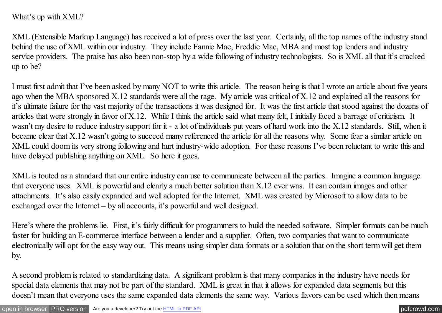What's up with XML?

XML (Extensible Markup Language) has received a lot of press over the last year. Certainly, all the top names of the industry stand behind the use of XML within our industry. They include Fannie Mae, Freddie Mac, MBA and most top lenders and industry service providers. The praise has also been non-stop by a wide following of industry technologists. So is XML all that it's cracked up to be?

I must first admit that I've been asked by many NOT to write this article. The reason being is that I wrote an article about five years ago when the MBA sponsored X.12 standards were all the rage. My article was critical of X.12 and explained all the reasons for it's ultimate failure for the vast majority of the transactions it was designed for. It was the first article that stood against the dozens of articles that were strongly in favor of X.12. While I think the article said what many felt, I initially faced a barrage of criticism. It wasn't my desire to reduce industry support for it - a lot of individuals put years of hard work into the X.12 standards. Still, when it became clear that X.12 wasn't going to succeed many referenced the article for all the reasons why. Some fear a similar article on XML could doom its very strong following and hurt industry-wide adoption. For these reasons I've been reluctant to write this and have delayed publishing anything on XML. So here it goes.

XML is touted as a standard that our entire industry can use to communicate between all the parties. Imagine a common language that everyone uses. XML is powerful and clearly a much better solution than X.12 ever was. It can contain images and other attachments. It's also easily expanded and well adopted for the Internet. XML was created by Microsoft to allow data to be exchanged over the Internet – by all accounts, it's powerful and well designed.

Here's where the problems lie. First, it's fairly difficult for programmers to build the needed software. Simpler formats can be much faster for building an E-commerce interface between a lender and a supplier. Often, two companies that want to communicate electronically will opt for the easy way out. This means using simpler data formats or a solution that on the short term will get them by.

A second problem is related to standardizing data. A significant problem is that many companies in the industry have needs for special data elements that may not be part of the standard. XML is great in that it allows for expanded data segments but this doesn't mean that everyone uses the same expanded data elements the same way. Various flavors can be used which then means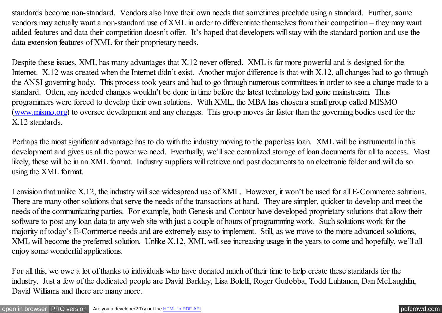standards become non-standard. Vendors also have their own needs that sometimes preclude using a standard. Further, some vendors may actually want a non-standard use of XML in order to differentiate themselves from their competition – they may want added features and data their competition doesn't offer. It's hoped that developers will stay with the standard portion and use the data extension features of XML for their proprietary needs.

Despite these issues, XML has many advantages that X.12 never offered. XML is far more powerful and is designed for the Internet. X.12 was created when the Internet didn't exist. Another major difference is that with X.12, all changes had to go through the ANSI governing body. This process took years and had to go through numerous committees in order to see a change made to a standard. Often, any needed changes wouldn't be done in time before the latest technology had gone mainstream. Thus programmers were forced to develop their own solutions. With XML, the MBA has chosen a small group called MISMO [\(www.mismo.org\)](http://www.mismo.org/) to oversee development and any changes. This group moves far faster than the governing bodies used for the X.12 standards.

Perhaps the most significant advantage has to do with the industry moving to the paperless loan. XML will be instrumental in this development and gives us all the power we need. Eventually, we'll see centralized storage of loan documents for all to access. Most likely, these will be in an XML format. Industry suppliers will retrieve and post documents to an electronic folder and will do so using the XML format.

I envision that unlike X.12, the industry will see widespread use of XML. However, it won't be used for all E-Commerce solutions. There are many other solutions that serve the needs of the transactions at hand. They are simpler, quicker to develop and meet the needs of the communicating parties. For example, both Genesis and Contour have developed proprietary solutions that allow their software to post any loan data to any web site with just a couple of hours of programming work. Such solutions work for the majority of today's E-Commerce needs and are extremely easy to implement. Still, as we move to the more advanced solutions, XML will become the preferred solution. Unlike X.12, XML will see increasing usage in the years to come and hopefully, we'll all enjoy some wonderful applications.

For all this, we owe a lot of thanks to individuals who have donated much of their time to help create these standards for the industry. Just a few of the dedicated people are David Barkley, Lisa Bolelli, Roger Gudobba, Todd Luhtanen, Dan McLaughlin, David Williams and there are many more.